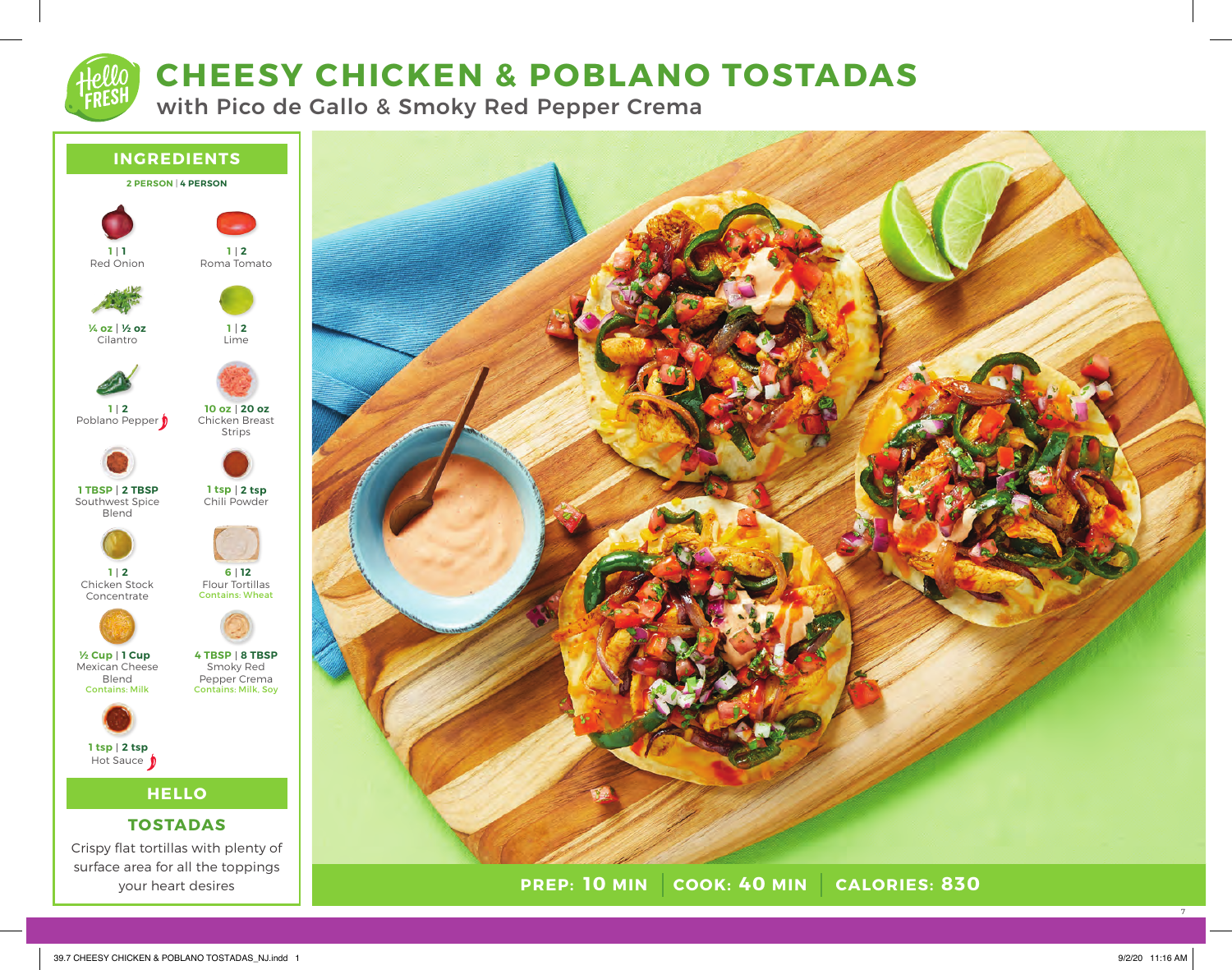# **CHEESY CHICKEN & POBLANO TOSTADAS**

with Pico de Gallo & Smoky Red Pepper Crema